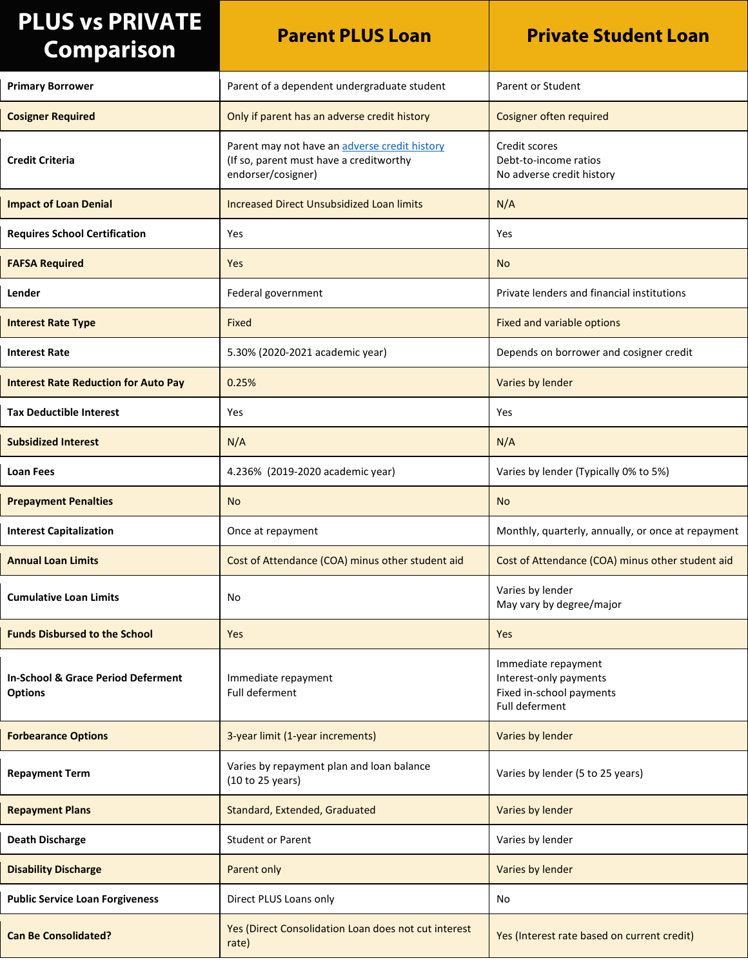| <b>PLUS vs PRIVATE</b><br><b>Comparison</b>                     | <b>Parent PLUS Loan</b>                                                                                        | <b>Private Student Loan</b>                                                                 |
|-----------------------------------------------------------------|----------------------------------------------------------------------------------------------------------------|---------------------------------------------------------------------------------------------|
| <b>Primary Borrower</b>                                         | Parent of a dependent undergraduate student                                                                    | <b>Parent or Student</b>                                                                    |
| <b>Cosigner Required</b>                                        | Only if parent has an adverse credit history                                                                   | Cosigner often required                                                                     |
| <b>Credit Criteria</b>                                          | Parent may not have an adverse credit history<br>(If so, parent must have a creditworthy<br>endorser/cosigner) | Credit scores<br>Debt-to-income ratios<br>No adverse credit history                         |
| <b>Impact of Loan Denial</b>                                    | Increased Direct Unsubsidized Loan limits                                                                      | N/A                                                                                         |
| <b>Requires School Certification</b>                            | Yes                                                                                                            | Yes                                                                                         |
| <b>FAFSA Required</b>                                           | Yes                                                                                                            | <b>No</b>                                                                                   |
| Lender                                                          | Federal government                                                                                             | Private lenders and financial institutions                                                  |
| <b>Interest Rate Type</b>                                       | Fixed                                                                                                          | Fixed and variable options                                                                  |
| <b>Interest Rate</b>                                            | 5.30% (2020-2021 academic year)                                                                                | Depends on borrower and cosigner credit                                                     |
| <b>Interest Rate Reduction for Auto Pay</b>                     | 0.25%                                                                                                          | Varies by lender                                                                            |
| <b>Tax Deductible Interest</b>                                  | Yes                                                                                                            | Yes                                                                                         |
| <b>Subsidized Interest</b>                                      | N/A                                                                                                            | N/A                                                                                         |
| <b>Loan Fees</b>                                                | 4.236% (2019-2020 academic year)                                                                               | Varies by lender (Typically 0% to 5%)                                                       |
| <b>Prepayment Penalties</b>                                     | <b>No</b>                                                                                                      | <b>No</b>                                                                                   |
| <b>Interest Capitalization</b>                                  | Once at repayment                                                                                              | Monthly, quarterly, annually, or once at repayment                                          |
| <b>Annual Loan Limits</b>                                       | Cost of Attendance (COA) minus other student aid                                                               | Cost of Attendance (COA) minus other student aid                                            |
| <b>Cumulative Loan Limits</b>                                   | No                                                                                                             | Varies by lender<br>May vary by degree/major                                                |
| <b>Funds Disbursed to the School</b>                            | Yes                                                                                                            | Yes                                                                                         |
| <b>In-School &amp; Grace Period Deferment</b><br><b>Options</b> | Immediate repayment<br>Full deferment                                                                          | Immediate repayment<br>Interest-only payments<br>Fixed in-school payments<br>Full deferment |
| <b>Forbearance Options</b>                                      | 3-year limit (1-year increments)                                                                               | Varies by lender                                                                            |
| <b>Repayment Term</b>                                           | Varies by repayment plan and loan balance<br>(10 to 25 years)                                                  | Varies by lender (5 to 25 years)                                                            |
| <b>Repayment Plans</b>                                          | Standard, Extended, Graduated                                                                                  | Varies by lender                                                                            |
| <b>Death Discharge</b>                                          | <b>Student or Parent</b>                                                                                       | Varies by lender                                                                            |
| <b>Disability Discharge</b>                                     | Parent only                                                                                                    | Varies by lender                                                                            |
| <b>Public Service Loan Forgiveness</b>                          | Direct PLUS Loans only                                                                                         | No                                                                                          |
| <b>Can Be Consolidated?</b>                                     | Yes (Direct Consolidation Loan does not cut interest<br>rate)                                                  | Yes (Interest rate based on current credit)                                                 |